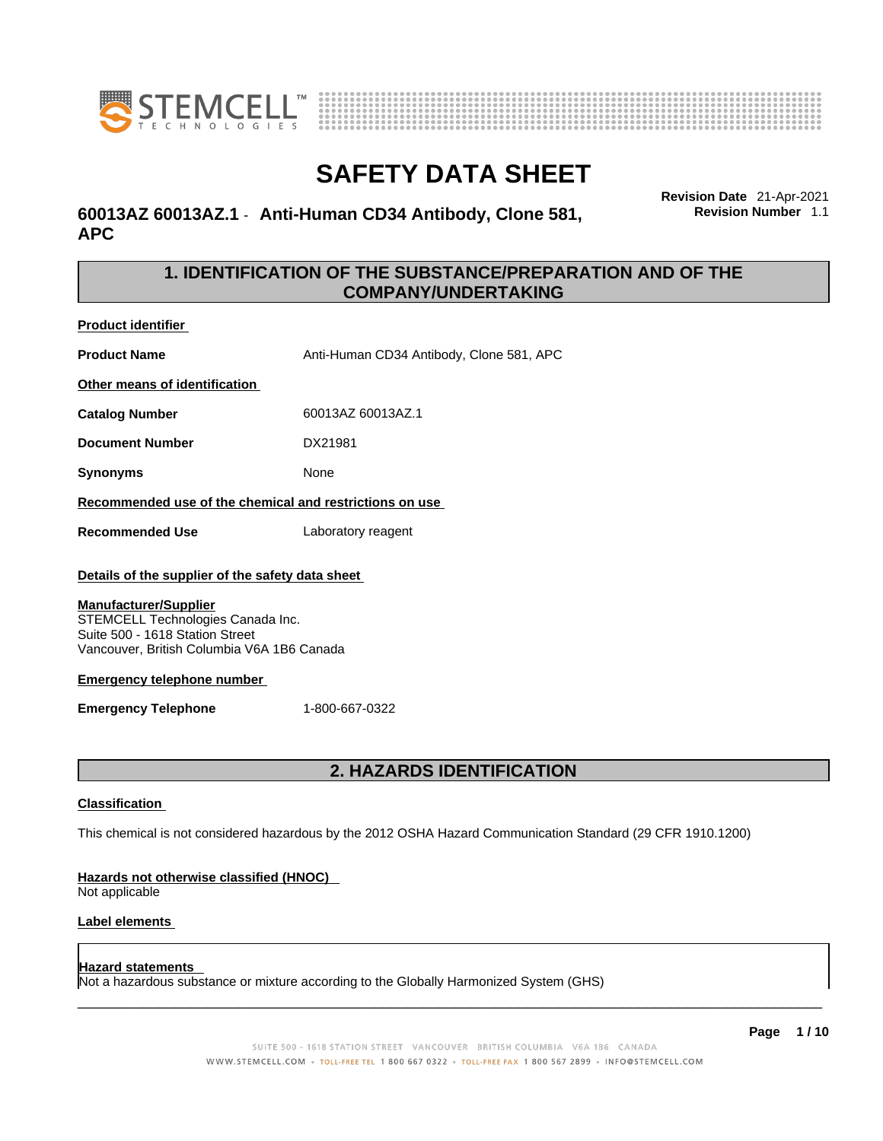



# **60013AZ 60013AZ.1** - **Anti-Human CD34 Antibody, Clone 581, APC**

**Revision Date** 21-Apr-2021 **Revision Number** 1.1

# **1. IDENTIFICATION OF THE SUBSTANCE/PREPARATION AND OF THE COMPANY/UNDERTAKING**

**Product identifier**

**Product Name** Anti-Human CD34 Antibody, Clone 581, APC

**Other means of identification**

**Catalog Number** 60013AZ 60013AZ.1

**Document Number** DX21981

**Synonyms** None

**Recommended use of the chemical and restrictions on use**

**Recommended Use** Laboratory reagent

### **Details of the supplier of the safety data sheet**

### **Manufacturer/Supplier**

STEMCELL Technologies Canada Inc. Suite 500 - 1618 Station Street Vancouver, British Columbia V6A 1B6 Canada

### **Emergency telephone number**

**Emergency Telephone** 1-800-667-0322

# **2. HAZARDS IDENTIFICATION**

### **Classification**

This chemical is not considered hazardous by the 2012 OSHA Hazard Communication Standard (29 CFR 1910.1200)

### **Hazards not otherwise classified (HNOC)**

Not applicable

### **Label elements**

### **Hazard statements**

Not a hazardous substance or mixture according to the Globally Harmonized System (GHS)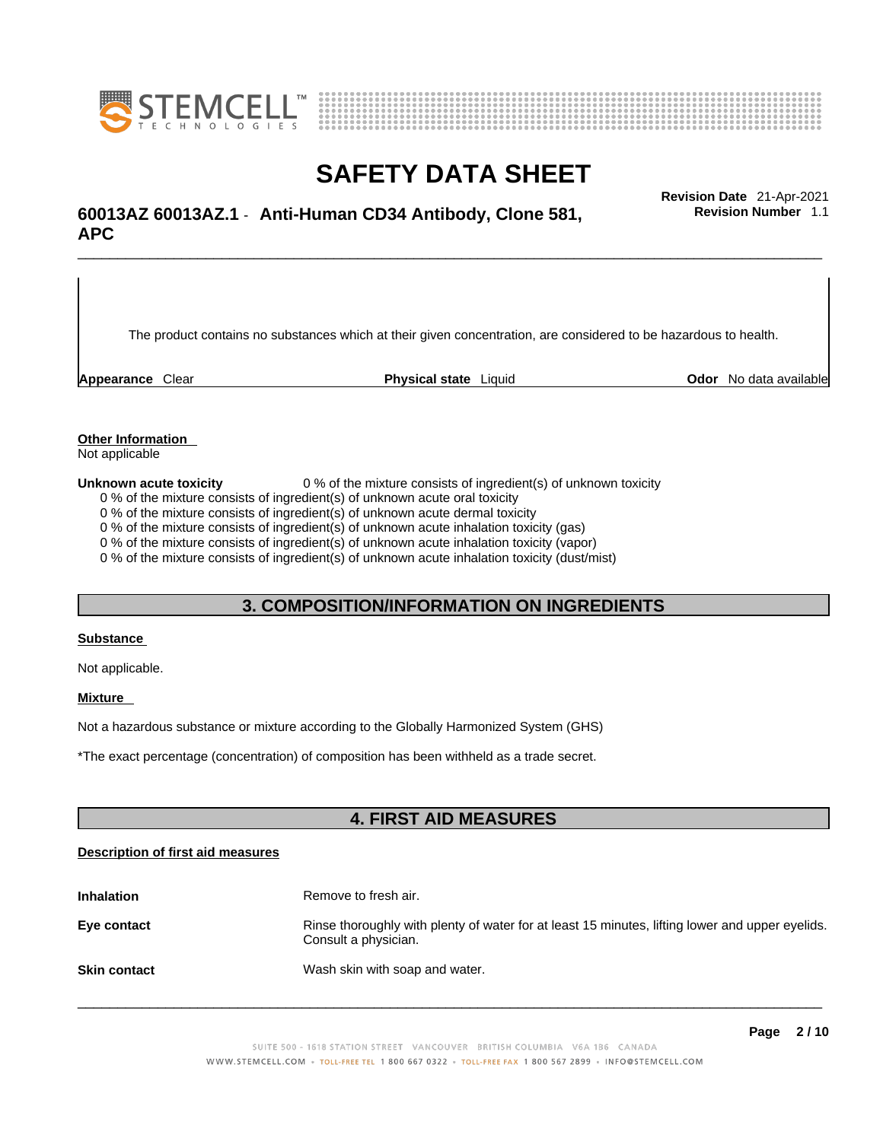



# \_\_\_\_\_\_\_\_\_\_\_\_\_\_\_\_\_\_\_\_\_\_\_\_\_\_\_\_\_\_\_\_\_\_\_\_\_\_\_\_\_\_\_\_\_\_\_\_\_\_\_\_\_\_\_\_\_\_\_\_\_\_\_\_\_\_\_\_\_\_\_\_\_\_\_\_\_\_\_\_\_\_\_\_\_\_\_\_\_\_\_\_\_ **Revision Date** 21-Apr-2021 **60013AZ 60013AZ.1** - **Anti-Human CD34 Antibody, Clone 581, APC**

The product contains no substances which at their given concentration, are considered to be hazardous to health.

**Appearance** Clear **Physical state** Liquid **Odor** No data available

**Revision Number** 1.1

**Other Information** 

Not applicable

**Unknown acute toxicity** 0 % of the mixture consists of ingredient(s) of unknown toxicity

0 % of the mixture consists of ingredient(s) of unknown acute oral toxicity

0 % of the mixture consists of ingredient(s) of unknown acute dermal toxicity

0 % of the mixture consists of ingredient(s) of unknown acute inhalation toxicity (gas)

0 % of the mixture consists of ingredient(s) of unknown acute inhalation toxicity (vapor)

0 % of the mixture consists of ingredient(s) of unknown acute inhalation toxicity (dust/mist)

## **3. COMPOSITION/INFORMATION ON INGREDIENTS**

#### **Substance**

Not applicable.

### **Mixture**

Not a hazardous substance or mixture according to the Globally Harmonized System (GHS)

\*The exact percentage (concentration) ofcomposition has been withheld as a trade secret.

# **4. FIRST AID MEASURES**

### **Description of first aid measures**

| <b>Inhalation</b>   | Remove to fresh air.                                                                                                    |
|---------------------|-------------------------------------------------------------------------------------------------------------------------|
| Eye contact         | Rinse thoroughly with plenty of water for at least 15 minutes, lifting lower and upper eyelids.<br>Consult a physician. |
| <b>Skin contact</b> | Wash skin with soap and water.                                                                                          |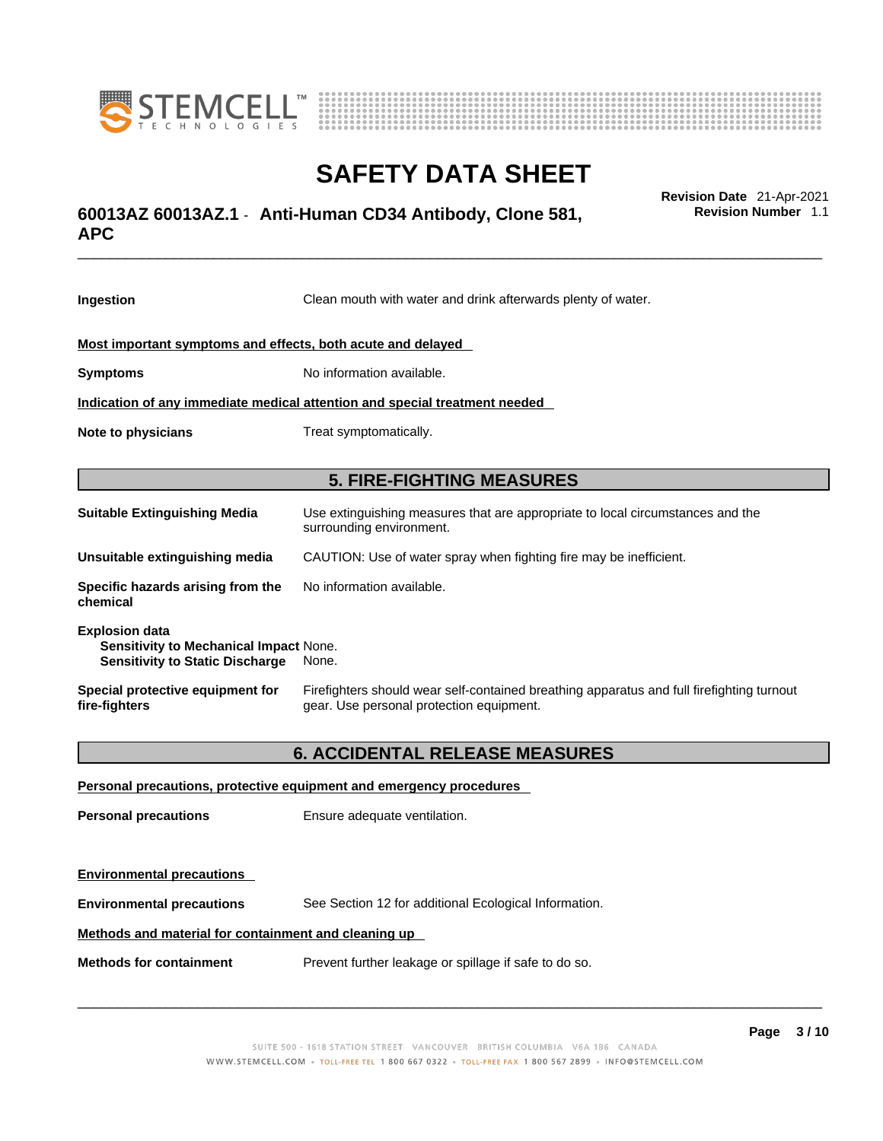



# \_\_\_\_\_\_\_\_\_\_\_\_\_\_\_\_\_\_\_\_\_\_\_\_\_\_\_\_\_\_\_\_\_\_\_\_\_\_\_\_\_\_\_\_\_\_\_\_\_\_\_\_\_\_\_\_\_\_\_\_\_\_\_\_\_\_\_\_\_\_\_\_\_\_\_\_\_\_\_\_\_\_\_\_\_\_\_\_\_\_\_\_\_ **Revision Date** 21-Apr-2021 **60013AZ 60013AZ.1** - **Anti-Human CD34 Antibody, Clone 581, APC**

**Ingestion** Clean mouth with water and drink afterwards plenty of water. **Most important symptoms and effects, both acute and delayed Symptoms** No information available. **Indication of any immediate medical attention and special treatment needed Note to physicians** Treat symptomatically. **5. FIRE-FIGHTING MEASURES Suitable Extinguishing Media** Use extinguishing measures that are appropriate to local circumstances and the surrounding environment. **Unsuitable extinguishing media** CAUTION: Use of water spray when fighting fire may be inefficient. **Specific hazards arising from the chemical** No information available. **Explosion data Sensitivity to Mechanical Impact** None. **Sensitivity to Static Discharge** None. **Special protective equipment for fire-fighters** Firefighters should wear self-contained breathing apparatus and full firefighting turnout gear. Use personal protection equipment. **6. ACCIDENTAL RELEASE MEASURES Personal precautions, protective equipment and emergency procedures Personal precautions** Ensure adequate ventilation.

**Environmental precautions Environmental precautions** See Section 12 for additional Ecological Information. **Methods and material for containment and cleaning up**

**Methods for containment** Prevent further leakage or spillage if safe to do so.

 $\_$  ,  $\_$  ,  $\_$  ,  $\_$  ,  $\_$  ,  $\_$  ,  $\_$  ,  $\_$  ,  $\_$  ,  $\_$  ,  $\_$  ,  $\_$  ,  $\_$  ,  $\_$  ,  $\_$  ,  $\_$  ,  $\_$  ,  $\_$  ,  $\_$  ,  $\_$  ,  $\_$  ,  $\_$  ,  $\_$  ,  $\_$  ,  $\_$  ,  $\_$  ,  $\_$  ,  $\_$  ,  $\_$  ,  $\_$  ,  $\_$  ,  $\_$  ,  $\_$  ,  $\_$  ,  $\_$  ,  $\_$  ,  $\_$  ,

**Revision Number** 1.1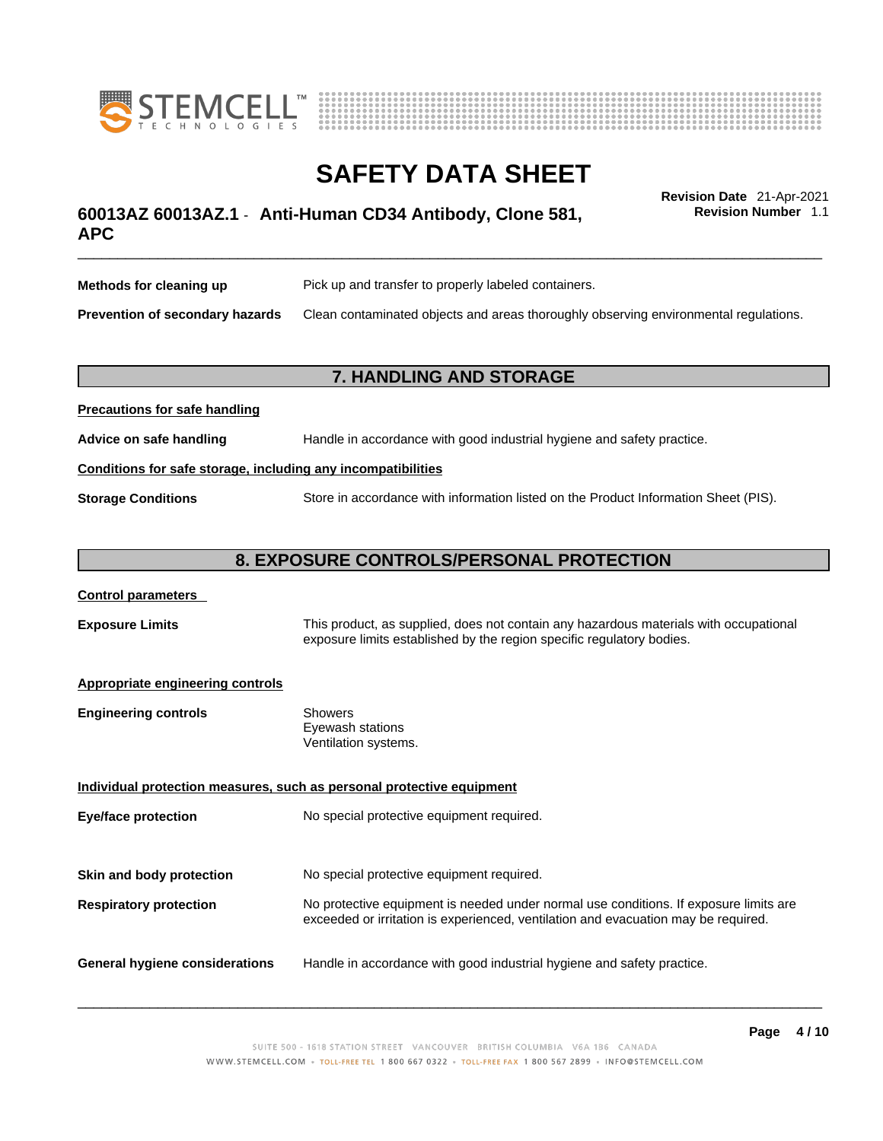



# \_\_\_\_\_\_\_\_\_\_\_\_\_\_\_\_\_\_\_\_\_\_\_\_\_\_\_\_\_\_\_\_\_\_\_\_\_\_\_\_\_\_\_\_\_\_\_\_\_\_\_\_\_\_\_\_\_\_\_\_\_\_\_\_\_\_\_\_\_\_\_\_\_\_\_\_\_\_\_\_\_\_\_\_\_\_\_\_\_\_\_\_\_ **Revision Date** 21-Apr-2021 **60013AZ 60013AZ.1** - **Anti-Human CD34 Antibody, Clone 581, APC**

**Revision Number** 1.1

| Methods for cleaning up         | Pick up and transfer to properly labeled containers.                                 |
|---------------------------------|--------------------------------------------------------------------------------------|
| Prevention of secondary hazards | Clean contaminated objects and areas thoroughly observing environmental regulations. |

# **7. HANDLING AND STORAGE**

| <b>Precautions for safe handling</b>                         |                                                                                     |  |
|--------------------------------------------------------------|-------------------------------------------------------------------------------------|--|
| Advice on safe handling                                      | Handle in accordance with good industrial hygiene and safety practice.              |  |
| Conditions for safe storage, including any incompatibilities |                                                                                     |  |
| <b>Storage Conditions</b>                                    | Store in accordance with information listed on the Product Information Sheet (PIS). |  |

# **8. EXPOSURE CONTROLS/PERSONAL PROTECTION**

### **Control parameters**

**Exposure Limits** This product, as supplied, does not contain any hazardous materials with occupational exposure limits established by the region specific regulatory bodies.

### **Appropriate engineering controls**

**Precautions for safe handling**

| <b>Engineering controls</b> | Showers              |
|-----------------------------|----------------------|
|                             | Eyewash stations     |
|                             | Ventilation systems. |

**Individual protection measures, such as personal protective equipment Eye/face protection** No special protective equipment required. **Skin and body protection** No special protective equipment required. **Respiratory protection** No protective equipment is needed under normal use conditions. If exposure limits are exceeded or irritation is experienced, ventilation and evacuation may be required. **General hygiene considerations** Handle in accordance with good industrial hygiene and safety practice.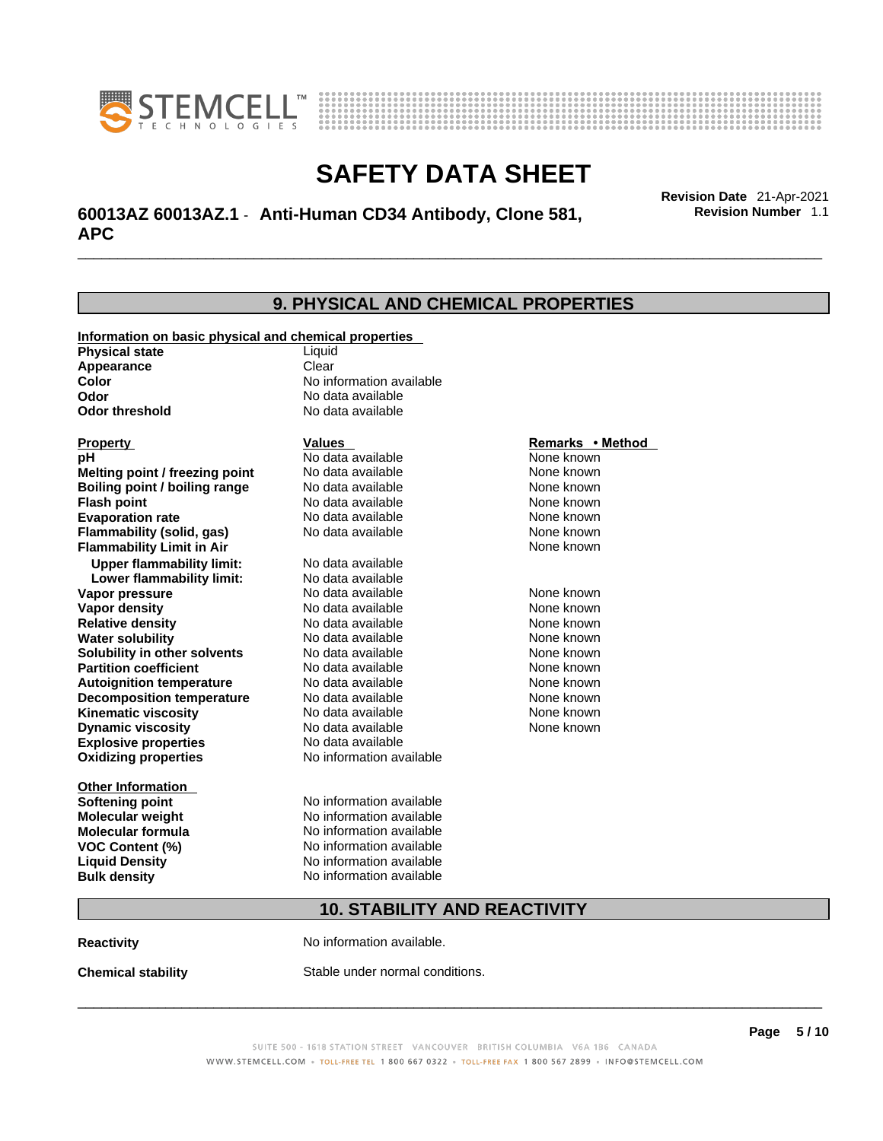



# \_\_\_\_\_\_\_\_\_\_\_\_\_\_\_\_\_\_\_\_\_\_\_\_\_\_\_\_\_\_\_\_\_\_\_\_\_\_\_\_\_\_\_\_\_\_\_\_\_\_\_\_\_\_\_\_\_\_\_\_\_\_\_\_\_\_\_\_\_\_\_\_\_\_\_\_\_\_\_\_\_\_\_\_\_\_\_\_\_\_\_\_\_ **Revision Date** 21-Apr-2021 **60013AZ 60013AZ.1** - **Anti-Human CD34 Antibody, Clone 581, APC**

**9. PHYSICAL AND CHEMICAL PROPERTIES Information on basic physical and chemical properties Physical state** Liquid **Appearance** Clear<br> **Color** No int **Color Color Color Color Color Color Color No** data available **Odor Odor No data available**<br> **Odor threshold No data available No data available Explosive properties** No data available **Oxidizing properties** No information available **Other Information Softening point** No information available **Molecular weight** No information available **Molecular formula** No information available<br>**VOC Content (%)** No information available **VOC** Content (%) **Liquid Density** No information available **Bulk density No information available Property CONSCRUTE IN THE VALUES REMARKS • Method pH** No data available None known **Melting point / freezing point Boiling point / boiling range Modata available None known Flash point Communist Communist Communist Communist Communist Communist Communist Communist Communist Communist Communist Communist Communist Communist Communist Communist Communist Communist Communist Communist Communi Evaporation rate Configure 1 Accord None Configure 1 Accord None known**<br> **Elammability (solid. gas)** No data available **None known** None known **Flammability (solid, gas)** No data available None known **Flammability Limit in Air None known None known Upper flammability limit:** No data available **Lower flammability limit:** No data available **Vapor pressure No data available None known Vapor density Notata available None known Relative density No data available None known Water solubility No data available Mone known**<br> **Solubility in other solvents** No data available None known None known **Solubility in other solvents** No data available **None known**<br> **Partition coefficient** No data available **None known**<br>
None known **Partition coefficient**<br>**Autoignition temperature** No data available **Autoignition temperature No data available None known**<br> **Decomposition temperature** No data available **None known**<br>
None known **Decomposition temperature** No data available None known<br> **Kinematic viscosity** No data available None known **Kinematic viscosity** No data available<br> **Dynamic viscosity** No data available **Dynamic viscosity** None known

# **10. STABILITY AND REACTIVITY**

**Reactivity No information available.** 

**Chemical stability** Stable under normal conditions.

 $\_$  ,  $\_$  ,  $\_$  ,  $\_$  ,  $\_$  ,  $\_$  ,  $\_$  ,  $\_$  ,  $\_$  ,  $\_$  ,  $\_$  ,  $\_$  ,  $\_$  ,  $\_$  ,  $\_$  ,  $\_$  ,  $\_$  ,  $\_$  ,  $\_$  ,  $\_$  ,  $\_$  ,  $\_$  ,  $\_$  ,  $\_$  ,  $\_$  ,  $\_$  ,  $\_$  ,  $\_$  ,  $\_$  ,  $\_$  ,  $\_$  ,  $\_$  ,  $\_$  ,  $\_$  ,  $\_$  ,  $\_$  ,  $\_$  ,

**Revision Number** 1.1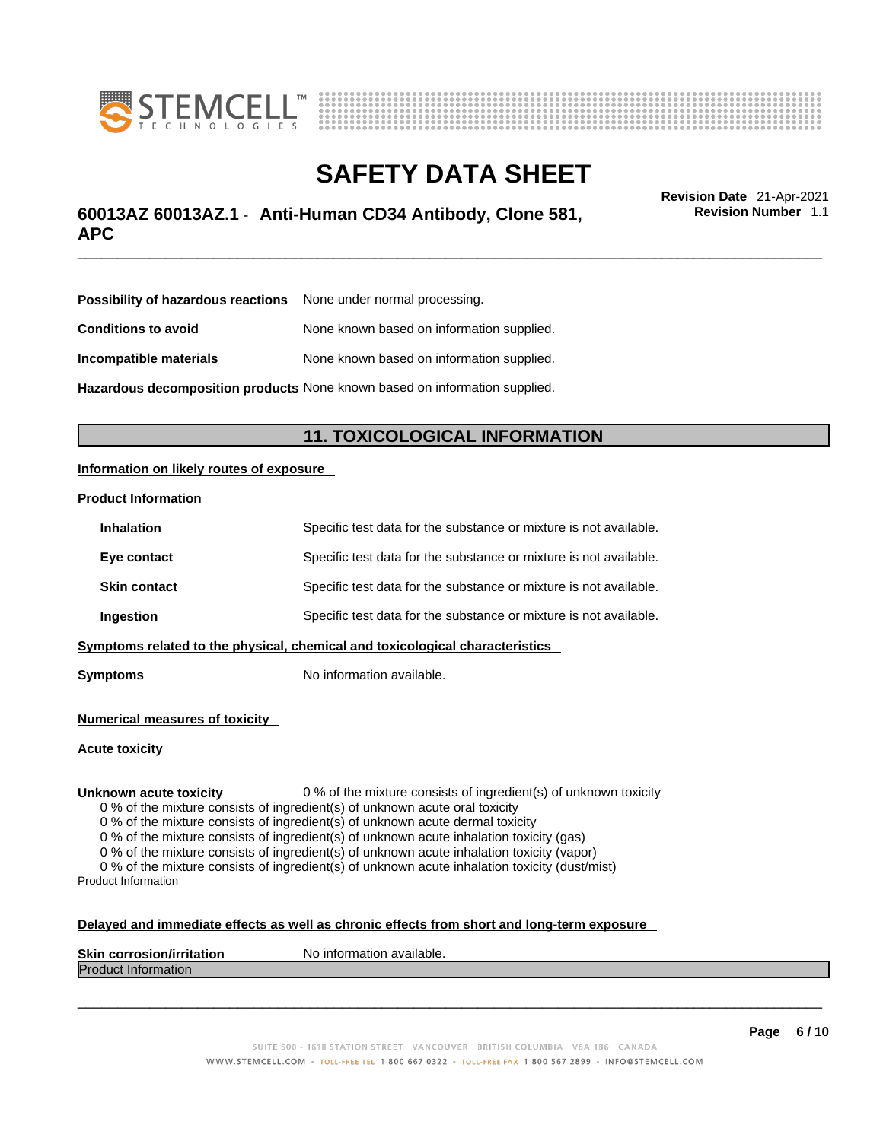



# \_\_\_\_\_\_\_\_\_\_\_\_\_\_\_\_\_\_\_\_\_\_\_\_\_\_\_\_\_\_\_\_\_\_\_\_\_\_\_\_\_\_\_\_\_\_\_\_\_\_\_\_\_\_\_\_\_\_\_\_\_\_\_\_\_\_\_\_\_\_\_\_\_\_\_\_\_\_\_\_\_\_\_\_\_\_\_\_\_\_\_\_\_ **Revision Date** 21-Apr-2021 **60013AZ 60013AZ.1** - **Anti-Human CD34 Antibody, Clone 581, APC**

**Revision Number** 1.1

| <b>Possibility of hazardous reactions</b> None under normal processing.    |                                           |
|----------------------------------------------------------------------------|-------------------------------------------|
| <b>Conditions to avoid</b>                                                 | None known based on information supplied. |
| Incompatible materials                                                     | None known based on information supplied. |
| Hazardous decomposition products None known based on information supplied. |                                           |

# **11. TOXICOLOGICAL INFORMATION**

### **Information on likely routes of exposure**

#### **Product Information**

| <b>Inhalation</b>                                                              | Specific test data for the substance or mixture is not available. |
|--------------------------------------------------------------------------------|-------------------------------------------------------------------|
| Eye contact                                                                    | Specific test data for the substance or mixture is not available. |
| <b>Skin contact</b>                                                            | Specific test data for the substance or mixture is not available. |
| Specific test data for the substance or mixture is not available.<br>Ingestion |                                                                   |
| Symptoms related to the physical, chemical and toxicological characteristics   |                                                                   |

**Symptoms** No information available.

**Numerical measures of toxicity**

**Acute toxicity**

**Unknown acute toxicity** 0 % of the mixture consists of ingredient(s) of unknown toxicity

0 % of the mixture consists of ingredient(s) of unknown acute oral toxicity

0 % of the mixture consists of ingredient(s) of unknown acute dermal toxicity

0 % of the mixture consists of ingredient(s) of unknown acute inhalation toxicity (gas)

0 % of the mixture consists of ingredient(s) of unknown acute inhalation toxicity (vapor)

0 % of the mixture consists of ingredient(s) of unknown acute inhalation toxicity (dust/mist) Product Information

#### **Delayed and immediate effects as well as chronic effects from short and long-term exposure**

| <b>Skin corrosior</b><br>ion/irritation | `available.<br>No inforn<br>nation |
|-----------------------------------------|------------------------------------|
| Produc<br><b>Information</b>            |                                    |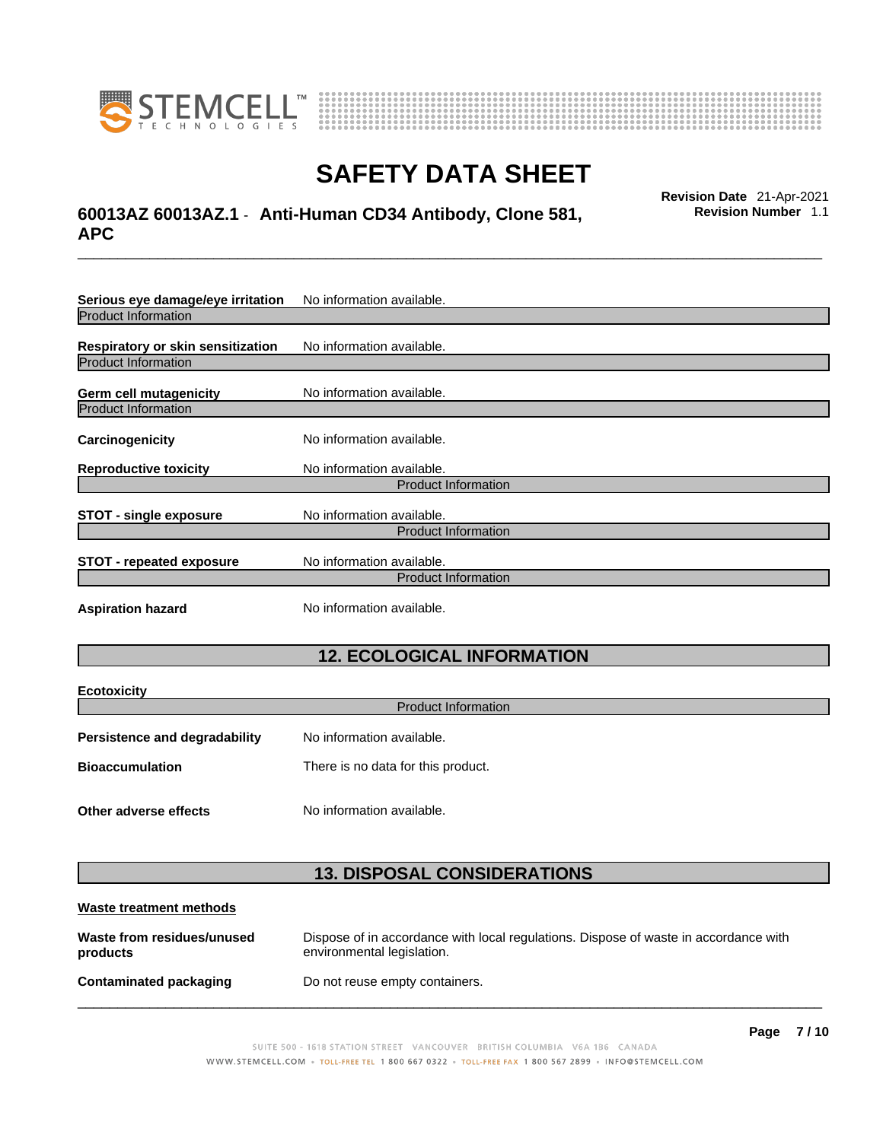



# \_\_\_\_\_\_\_\_\_\_\_\_\_\_\_\_\_\_\_\_\_\_\_\_\_\_\_\_\_\_\_\_\_\_\_\_\_\_\_\_\_\_\_\_\_\_\_\_\_\_\_\_\_\_\_\_\_\_\_\_\_\_\_\_\_\_\_\_\_\_\_\_\_\_\_\_\_\_\_\_\_\_\_\_\_\_\_\_\_\_\_\_\_ **Revision Date** 21-Apr-2021 **60013AZ 60013AZ.1** - **Anti-Human CD34 Antibody, Clone 581, APC**

**Revision Number** 1.1

| Serious eye damage/eye irritation | No information available.  |  |
|-----------------------------------|----------------------------|--|
| <b>Product Information</b>        |                            |  |
| Respiratory or skin sensitization | No information available.  |  |
| <b>Product Information</b>        |                            |  |
| Germ cell mutagenicity            | No information available.  |  |
| <b>Product Information</b>        |                            |  |
| Carcinogenicity                   | No information available.  |  |
| <b>Reproductive toxicity</b>      | No information available.  |  |
| <b>Product Information</b>        |                            |  |
| <b>STOT - single exposure</b>     | No information available.  |  |
| <b>Product Information</b>        |                            |  |
| <b>STOT - repeated exposure</b>   | No information available.  |  |
|                                   | <b>Product Information</b> |  |
| <b>Aspiration hazard</b>          | No information available.  |  |

# **12. ECOLOGICAL INFORMATION**

| <b>Ecotoxicity</b>            |                                    |  |
|-------------------------------|------------------------------------|--|
| <b>Product Information</b>    |                                    |  |
| Persistence and degradability | No information available.          |  |
| <b>Bioaccumulation</b>        | There is no data for this product. |  |
| Other adverse effects         | No information available.          |  |

# **13. DISPOSAL CONSIDERATIONS**

| Waste treatment methods                |                                                                                                                    |
|----------------------------------------|--------------------------------------------------------------------------------------------------------------------|
| Waste from residues/unused<br>products | Dispose of in accordance with local regulations. Dispose of waste in accordance with<br>environmental legislation. |
| Contaminated packaging                 | Do not reuse empty containers.                                                                                     |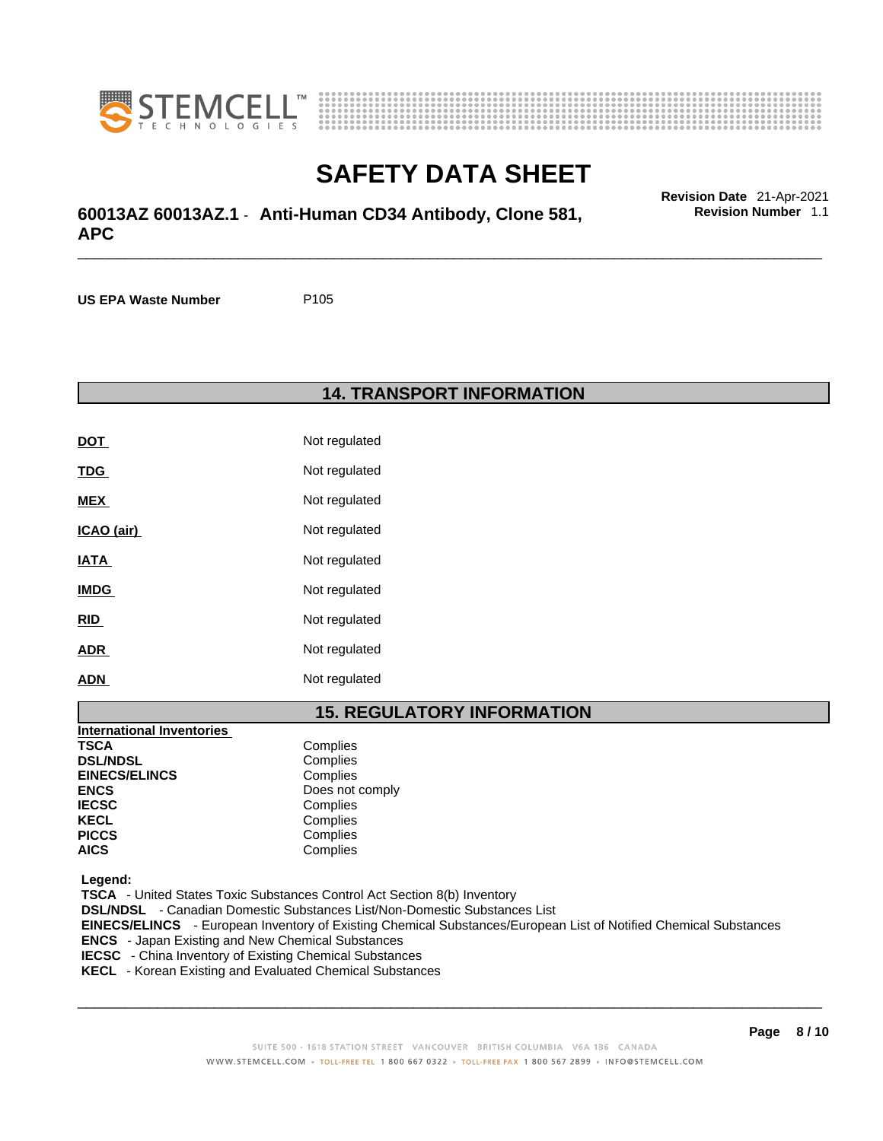



# \_\_\_\_\_\_\_\_\_\_\_\_\_\_\_\_\_\_\_\_\_\_\_\_\_\_\_\_\_\_\_\_\_\_\_\_\_\_\_\_\_\_\_\_\_\_\_\_\_\_\_\_\_\_\_\_\_\_\_\_\_\_\_\_\_\_\_\_\_\_\_\_\_\_\_\_\_\_\_\_\_\_\_\_\_\_\_\_\_\_\_\_\_ **Revision Date** 21-Apr-2021 **60013AZ 60013AZ.1** - **Anti-Human CD34 Antibody, Clone 581, APC**

**US EPA Waste Number** P105

### **14. TRANSPORT INFORMATION**

| <b>DOT</b>  | Not regulated |
|-------------|---------------|
| <b>TDG</b>  | Not regulated |
| MEX         | Not regulated |
| ICAO (air)  | Not regulated |
| IATA        | Not regulated |
| <b>IMDG</b> | Not regulated |
| RID         | Not regulated |
| <b>ADR</b>  | Not regulated |
| ADN         | Not regulated |

### **15. REGULATORY INFORMATION**

| <b>International Inventories</b> |                 |
|----------------------------------|-----------------|
| <b>TSCA</b>                      | Complies        |
| <b>DSL/NDSL</b>                  | Complies        |
| <b>EINECS/ELINCS</b>             | Complies        |
| <b>ENCS</b>                      | Does not comply |
| <b>IECSC</b>                     | Complies        |
| <b>KECL</b>                      | Complies        |
| <b>PICCS</b>                     | Complies        |
| <b>AICS</b>                      | Complies        |

 **Legend:** 

 **TSCA** - United States Toxic Substances Control Act Section 8(b) Inventory  **DSL/NDSL** - Canadian Domestic Substances List/Non-Domestic Substances List  **EINECS/ELINCS** - European Inventory of Existing Chemical Substances/European List of Notified Chemical Substances  **ENCS** - Japan Existing and New Chemical Substances  **IECSC** - China Inventory of Existing Chemical Substances

 **KECL** - Korean Existing and Evaluated Chemical Substances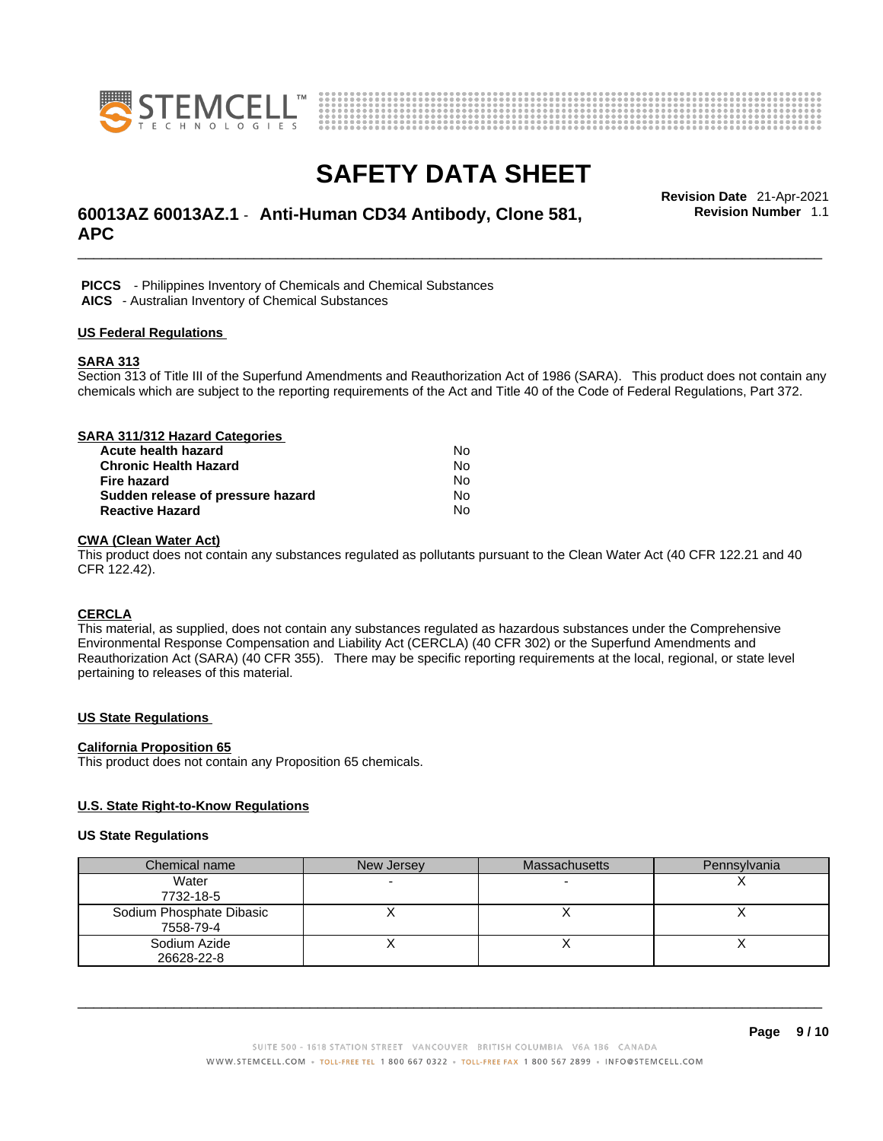



# \_\_\_\_\_\_\_\_\_\_\_\_\_\_\_\_\_\_\_\_\_\_\_\_\_\_\_\_\_\_\_\_\_\_\_\_\_\_\_\_\_\_\_\_\_\_\_\_\_\_\_\_\_\_\_\_\_\_\_\_\_\_\_\_\_\_\_\_\_\_\_\_\_\_\_\_\_\_\_\_\_\_\_\_\_\_\_\_\_\_\_\_\_ **Revision Date** 21-Apr-2021 **60013AZ 60013AZ.1** - **Anti-Human CD34 Antibody, Clone 581, APC**

**Revision Number** 1.1

 **PICCS** - Philippines Inventory of Chemicals and Chemical Substances

 **AICS** - Australian Inventory of Chemical Substances

### **US Federal Regulations**

### **SARA 313**

Section 313 of Title III of the Superfund Amendments and Reauthorization Act of 1986 (SARA). This product does not contain any chemicals which are subject to the reporting requirements of the Act and Title 40 of the Code of Federal Regulations, Part 372.

| SARA 311/312 Hazard Categories    |    |  |
|-----------------------------------|----|--|
| Acute health hazard               | No |  |
| <b>Chronic Health Hazard</b>      | No |  |
| <b>Fire hazard</b>                | No |  |
| Sudden release of pressure hazard | No |  |
| <b>Reactive Hazard</b>            | N٥ |  |

### **CWA (Clean WaterAct)**

This product does not contain any substances regulated as pollutants pursuant to the Clean Water Act (40 CFR 122.21 and 40 CFR 122.42).

### **CERCLA**

This material, as supplied, does not contain any substances regulated as hazardous substances under the Comprehensive Environmental Response Compensation and Liability Act (CERCLA) (40 CFR 302) or the Superfund Amendments and Reauthorization Act (SARA) (40 CFR 355). There may be specific reporting requirements at the local, regional, or state level pertaining to releases of this material.

### **US State Regulations**

### **California Proposition 65**

This product does not contain any Proposition 65 chemicals.

### **U.S. State Right-to-Know Regulations**

#### **US State Regulations**

| Chemical name            | New Jersey | <b>Massachusetts</b> | Pennsylvania |
|--------------------------|------------|----------------------|--------------|
| Water                    |            |                      |              |
| 7732-18-5                |            |                      |              |
| Sodium Phosphate Dibasic |            |                      |              |
| 7558-79-4                |            |                      |              |
| Sodium Azide             |            |                      |              |
| 26628-22-8               |            |                      |              |